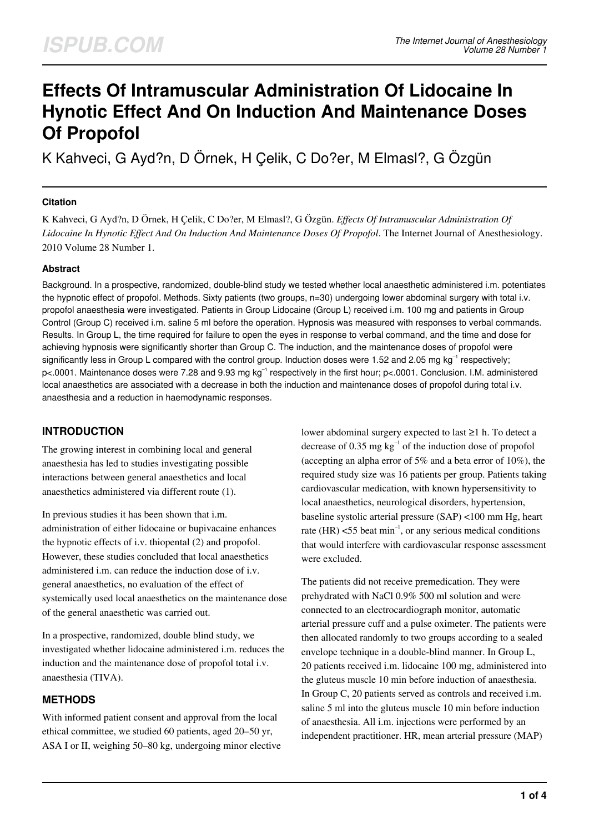# **Effects Of Intramuscular Administration Of Lidocaine In Hynotic Effect And On Induction And Maintenance Doses Of Propofol**

K Kahveci, G Ayd?n, D Örnek, H Çelik, C Do?er, M Elmasl?, G Özgün

## **Citation**

K Kahveci, G Ayd?n, D Örnek, H Çelik, C Do?er, M Elmasl?, G Özgün. *Effects Of Intramuscular Administration Of Lidocaine In Hynotic Effect And On Induction And Maintenance Doses Of Propofol*. The Internet Journal of Anesthesiology. 2010 Volume 28 Number 1.

## **Abstract**

Background. In a prospective, randomized, double-blind study we tested whether local anaesthetic administered i.m. potentiates the hypnotic effect of propofol. Methods. Sixty patients (two groups, n=30) undergoing lower abdominal surgery with total i.v. propofol anaesthesia were investigated. Patients in Group Lidocaine (Group L) received i.m. 100 mg and patients in Group Control (Group C) received i.m. saline 5 ml before the operation. Hypnosis was measured with responses to verbal commands. Results. In Group L, the time required for failure to open the eyes in response to verbal command, and the time and dose for achieving hypnosis were significantly shorter than Group C. The induction, and the maintenance doses of propofol were significantly less in Group L compared with the control group. Induction doses were 1.52 and 2.05 mg  $kg^{-1}$  respectively; p<.0001. Maintenance doses were 7.28 and 9.93 mg kg<sup>-1</sup> respectively in the first hour; p<.0001. Conclusion. I.M. administered local anaesthetics are associated with a decrease in both the induction and maintenance doses of propofol during total i.v. anaesthesia and a reduction in haemodynamic responses.

## **INTRODUCTION**

The growing interest in combining local and general anaesthesia has led to studies investigating possible interactions between general anaesthetics and local anaesthetics administered via different route (1).

In previous studies it has been shown that i.m. administration of either lidocaine or bupivacaine enhances the hypnotic effects of i.v. thiopental (2) and propofol. However, these studies concluded that local anaesthetics administered i.m. can reduce the induction dose of i.v. general anaesthetics, no evaluation of the effect of systemically used local anaesthetics on the maintenance dose of the general anaesthetic was carried out.

In a prospective, randomized, double blind study, we investigated whether lidocaine administered i.m. reduces the induction and the maintenance dose of propofol total i.v. anaesthesia (TIVA).

# **METHODS**

With informed patient consent and approval from the local ethical committee, we studied 60 patients, aged 20–50 yr, ASA I or II, weighing 50–80 kg, undergoing minor elective lower abdominal surgery expected to last ≥1 h. To detect a decrease of 0.35 mg  $kg^{-1}$  of the induction dose of propofol (accepting an alpha error of 5% and a beta error of 10%), the required study size was 16 patients per group. Patients taking cardiovascular medication, with known hypersensitivity to local anaesthetics, neurological disorders, hypertension, baseline systolic arterial pressure (SAP) <100 mm Hg, heart rate (HR)  $<$  55 beat min<sup>-1</sup>, or any serious medical conditions that would interfere with cardiovascular response assessment were excluded.

The patients did not receive premedication. They were prehydrated with NaCl 0.9% 500 ml solution and were connected to an electrocardiograph monitor, automatic arterial pressure cuff and a pulse oximeter. The patients were then allocated randomly to two groups according to a sealed envelope technique in a double-blind manner. In Group L, 20 patients received i.m. lidocaine 100 mg, administered into the gluteus muscle 10 min before induction of anaesthesia. In Group C, 20 patients served as controls and received i.m. saline 5 ml into the gluteus muscle 10 min before induction of anaesthesia. All i.m. injections were performed by an independent practitioner. HR, mean arterial pressure (MAP)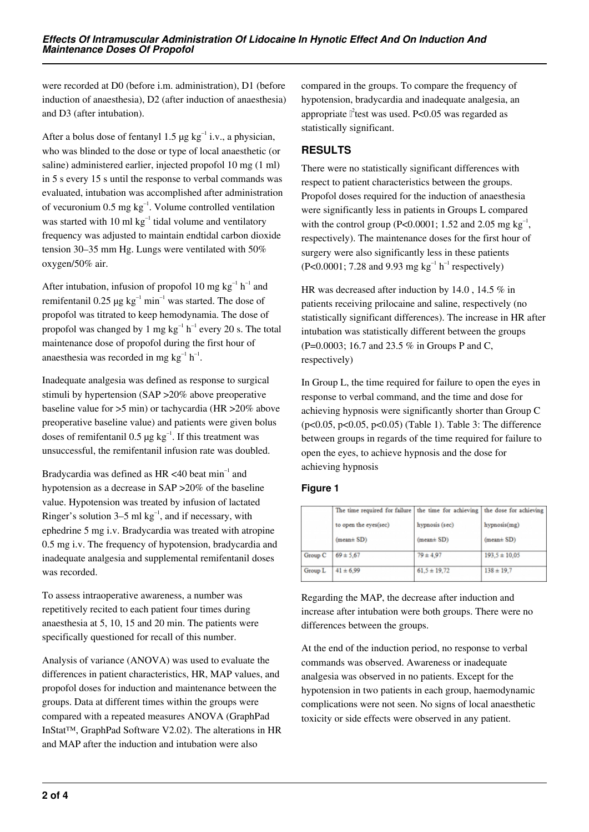were recorded at D0 (before i.m. administration), D1 (before induction of anaesthesia), D2 (after induction of anaesthesia) and D3 (after intubation).

After a bolus dose of fentanyl 1.5  $\mu$ g kg<sup>-1</sup> i.v., a physician, who was blinded to the dose or type of local anaesthetic (or saline) administered earlier, injected propofol 10 mg (1 ml) in 5 s every 15 s until the response to verbal commands was evaluated, intubation was accomplished after administration of vecuronium  $0.5$  mg  $kg^{-1}$ . Volume controlled ventilation was started with 10 ml  $kg^{-1}$  tidal volume and ventilatory frequency was adjusted to maintain endtidal carbon dioxide tension 30–35 mm Hg. Lungs were ventilated with 50% oxygen/50% air.

After intubation, infusion of propofol 10 mg  $kg^{-1} h^{-1}$  and remifentanil 0.25  $\mu$ g kg<sup>-1</sup> min<sup>-1</sup> was started. The dose of propofol was titrated to keep hemodynamia. The dose of propofol was changed by 1 mg  $kg^{-1} h^{-1}$  every 20 s. The total maintenance dose of propofol during the first hour of anaesthesia was recorded in mg  $kg^{-1} h^{-1}$ .

Inadequate analgesia was defined as response to surgical stimuli by hypertension (SAP >20% above preoperative baseline value for >5 min) or tachycardia (HR >20% above preoperative baseline value) and patients were given bolus doses of remifentanil 0.5  $\mu$ g kg<sup>-1</sup>. If this treatment was unsuccessful, the remifentanil infusion rate was doubled.

Bradycardia was defined as  $HR < 40$  beat min<sup>-1</sup> and hypotension as a decrease in SAP >20% of the baseline value. Hypotension was treated by infusion of lactated Ringer's solution 3–5 ml  $kg^{-1}$ , and if necessary, with ephedrine 5 mg i.v. Bradycardia was treated with atropine 0.5 mg i.v. The frequency of hypotension, bradycardia and inadequate analgesia and supplemental remifentanil doses was recorded.

To assess intraoperative awareness, a number was repetitively recited to each patient four times during anaesthesia at 5, 10, 15 and 20 min. The patients were specifically questioned for recall of this number.

Analysis of variance (ANOVA) was used to evaluate the differences in patient characteristics, HR, MAP values, and propofol doses for induction and maintenance between the groups. Data at different times within the groups were compared with a repeated measures ANOVA (GraphPad InStat™, GraphPad Software V2.02). The alterations in HR and MAP after the induction and intubation were also

compared in the groups. To compare the frequency of hypotension, bradycardia and inadequate analgesia, an appropriate  $\mathbb{I}^2$ test was used. P<0.05 was regarded as statistically significant.

# **RESULTS**

There were no statistically significant differences with respect to patient characteristics between the groups. Propofol doses required for the induction of anaesthesia were significantly less in patients in Groups L compared with the control group (P<0.0001; 1.52 and 2.05 mg  $kg^{-1}$ , respectively). The maintenance doses for the first hour of surgery were also significantly less in these patients (P<0.0001; 7.28 and 9.93 mg  $kg^{-1} h^{-1}$  respectively)

HR was decreased after induction by 14.0 , 14.5 % in patients receiving prilocaine and saline, respectively (no statistically significant differences). The increase in HR after intubation was statistically different between the groups (P=0.0003; 16.7 and 23.5 % in Groups P and C, respectively)

In Group L, the time required for failure to open the eyes in response to verbal command, and the time and dose for achieving hypnosis were significantly shorter than Group C (p<0.05, p<0.05, p<0.05) (Table 1). Table 3: The difference between groups in regards of the time required for failure to open the eyes, to achieve hypnosis and the dose for achieving hypnosis

## **Figure 1**

|         | The time required for failure   the time for achieving   the dose for achieving |                  |                   |
|---------|---------------------------------------------------------------------------------|------------------|-------------------|
|         | to open the eyes(sec)                                                           | hypnosis (sec)   | hypnosis(mg)      |
|         | $(mean \pm SD)$                                                                 | $(mean \pm SD)$  | $(mean \pm SD)$   |
| Group C | $69 \pm 5,67$                                                                   | $79 \pm 4.97$    | $193.5 \pm 10.05$ |
| Group L | $41 \pm 6.99$                                                                   | $61.5 \pm 19.72$ | $138 \pm 19.7$    |

Regarding the MAP, the decrease after induction and increase after intubation were both groups. There were no differences between the groups.

At the end of the induction period, no response to verbal commands was observed. Awareness or inadequate analgesia was observed in no patients. Except for the hypotension in two patients in each group, haemodynamic complications were not seen. No signs of local anaesthetic toxicity or side effects were observed in any patient.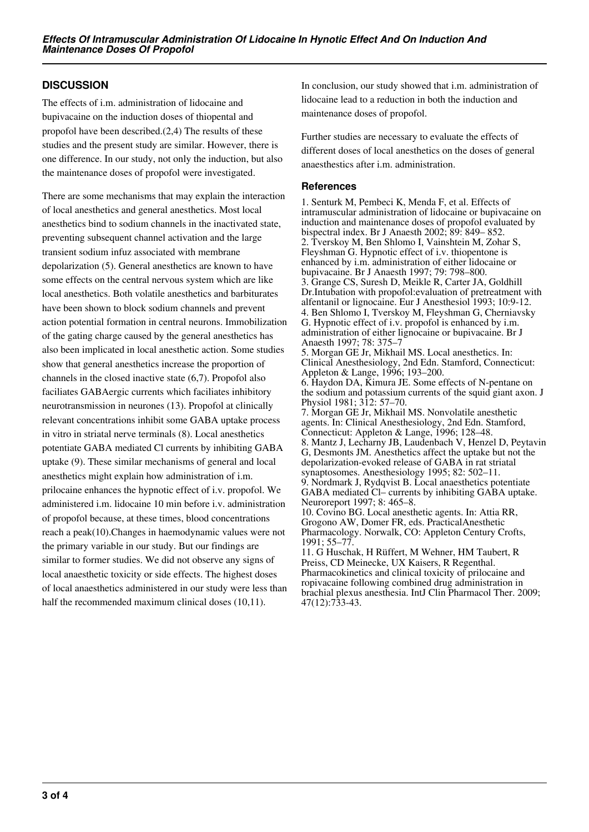## **DISCUSSION**

The effects of i.m. administration of lidocaine and bupivacaine on the induction doses of thiopental and propofol have been described.(2,4) The results of these studies and the present study are similar. However, there is one difference. In our study, not only the induction, but also the maintenance doses of propofol were investigated.

There are some mechanisms that may explain the interaction of local anesthetics and general anesthetics. Most local anesthetics bind to sodium channels in the inactivated state, preventing subsequent channel activation and the large transient sodium infuz associated with membrane depolarization (5). General anesthetics are known to have some effects on the central nervous system which are like local anesthetics. Both volatile anesthetics and barbiturates have been shown to block sodium channels and prevent action potential formation in central neurons. Immobilization of the gating charge caused by the general anesthetics has also been implicated in local anesthetic action. Some studies show that general anesthetics increase the proportion of channels in the closed inactive state (6,7). Propofol also faciliates GABAergic currents which faciliates inhibitory neurotransmission in neurones (13). Propofol at clinically relevant concentrations inhibit some GABA uptake process in vitro in striatal nerve terminals (8). Local anesthetics potentiate GABA mediated Cl currents by inhibiting GABA uptake (9). These similar mechanisms of general and local anesthetics might explain how administration of i.m. prilocaine enhances the hypnotic effect of i.v. propofol. We administered i.m. lidocaine 10 min before i.v. administration of propofol because, at these times, blood concentrations reach a peak(10).Changes in haemodynamic values were not the primary variable in our study. But our findings are similar to former studies. We did not observe any signs of local anaesthetic toxicity or side effects. The highest doses of local anaesthetics administered in our study were less than half the recommended maximum clinical doses (10,11).

In conclusion, our study showed that i.m. administration of lidocaine lead to a reduction in both the induction and maintenance doses of propofol.

Further studies are necessary to evaluate the effects of different doses of local anesthetics on the doses of general anaesthestics after i.m. administration.

## **References**

47(12):733-43.

1. Senturk M, Pembeci K, Menda F, et al. Effects of intramuscular administration of lidocaine or bupivacaine on induction and maintenance doses of propofol evaluated by bispectral index. Br J Anaesth 2002; 89: 849– 852. 2. Tverskoy M, Ben Shlomo I, Vainshtein M, Zohar S, Fleyshman G. Hypnotic effect of i.v. thiopentone is enhanced by i.m. administration of either lidocaine or bupivacaine. Br J Anaesth 1997; 79: 798–800. 3. Grange CS, Suresh D, Meikle R, Carter JA, Goldhill Dr.Intubation with propofol:evaluation of pretreatment with alfentanil or lignocaine. Eur J Anesthesiol 1993; 10:9-12. 4. Ben Shlomo I, Tverskoy M, Fleyshman G, Cherniavsky G. Hypnotic effect of i.v. propofol is enhanced by i.m. administration of either lignocaine or bupivacaine. Br J Anaesth 1997; 78: 375–7 5. Morgan GE Jr, Mikhail MS. Local anesthetics. In: Clinical Anesthesiology, 2nd Edn. Stamford, Connecticut: Appleton & Lange, 1996; 193–200. 6. Haydon DA, Kimura JE. Some effects of N-pentane on the sodium and potassium currents of the squid giant axon. J Physiol 1981; 312: 57–70. 7. Morgan GE Jr, Mikhail MS. Nonvolatile anesthetic agents. In: Clinical Anesthesiology, 2nd Edn. Stamford, Connecticut: Appleton & Lange, 1996; 128–48. 8. Mantz J, Lecharny JB, Laudenbach V, Henzel D, Peytavin G, Desmonts JM. Anesthetics affect the uptake but not the depolarization-evoked release of GABA in rat striatal synaptosomes. Anesthesiology 1995; 82: 502–11. 9. Nordmark J, Rydqvist B. Local anaesthetics potentiate GABA mediated Cl– currents by inhibiting GABA uptake. Neuroreport 1997; 8: 465–8. 10. Covino BG. Local anesthetic agents. In: Attia RR, Grogono AW, Domer FR, eds. PracticalAnesthetic Pharmacology. Norwalk, CO: Appleton Century Crofts, 1991; 55–77. 11. G Huschak, H Rüffert, M Wehner, HM Taubert, R Preiss, CD Meinecke, UX Kaisers, R Regenthal. Pharmacokinetics and clinical toxicity of prilocaine and ropivacaine following combined drug administration in brachial plexus anesthesia. IntJ Clin Pharmacol Ther. 2009;